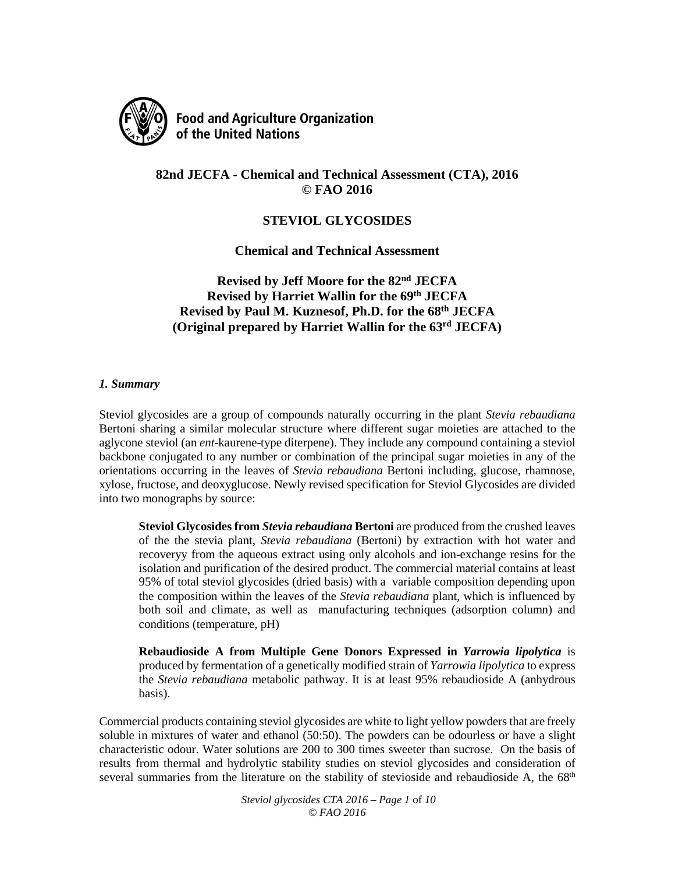

**Food and Agriculture Organization** of the United Nations

# **82nd JECFA - Chemical and Technical Assessment (CTA), 2016 © FAO 2016**

## **STEVIOL GLYCOSIDES**

**Chemical and Technical Assessment**

**Revised by Jeff Moore for the 82nd JECFA Revised by Harriet Wallin for the 69th JECFA Revised by Paul M. Kuznesof, Ph.D. for the 68th JECFA (Original prepared by Harriet Wallin for the 63rd JECFA)**

#### *1. Summary*

Steviol glycosides are a group of compounds naturally occurring in the plant *Stevia rebaudiana* Bertoni sharing a similar molecular structure where different sugar moieties are attached to the aglycone steviol (an *ent*-kaurene-type diterpene). They include any compound containing a steviol backbone conjugated to any number or combination of the principal sugar moieties in any of the orientations occurring in the leaves of *Stevia rebaudiana* Bertoni including, glucose, rhamnose, xylose, fructose, and deoxyglucose. Newly revised specification for Steviol Glycosides are divided into two monographs by source:

**Steviol Glycosides from** *Stevia rebaudiana* **Bertoni** are produced from the crushed leaves of the the stevia plant, *Stevia rebaudiana* (Bertoni) by extraction with hot water and recoveryy from the aqueous extract using only alcohols and ion-exchange resins for the isolation and purification of the desired product. The commercial material contains at least 95% of total steviol glycosides (dried basis) with a variable composition depending upon the composition within the leaves of the *Stevia rebaudiana* plant, which is influenced by both soil and climate, as well as manufacturing techniques (adsorption column) and conditions (temperature, pH)

**Rebaudioside A from Multiple Gene Donors Expressed in** *Yarrowia lipolytica* is produced by fermentation of a genetically modified strain of *Yarrowia lipolytica* to express the *Stevia rebaudiana* metabolic pathway. It is at least 95% rebaudioside A (anhydrous basis).

Commercial products containing steviol glycosides are white to light yellow powders that are freely soluble in mixtures of water and ethanol (50:50). The powders can be odourless or have a slight characteristic odour. Water solutions are 200 to 300 times sweeter than sucrose. On the basis of results from thermal and hydrolytic stability studies on steviol glycosides and consideration of several summaries from the literature on the stability of stevioside and rebaudioside A, the  $68<sup>th</sup>$ 

> *Steviol glycosides CTA 2016 – Page 1* of *10 © FAO 2016*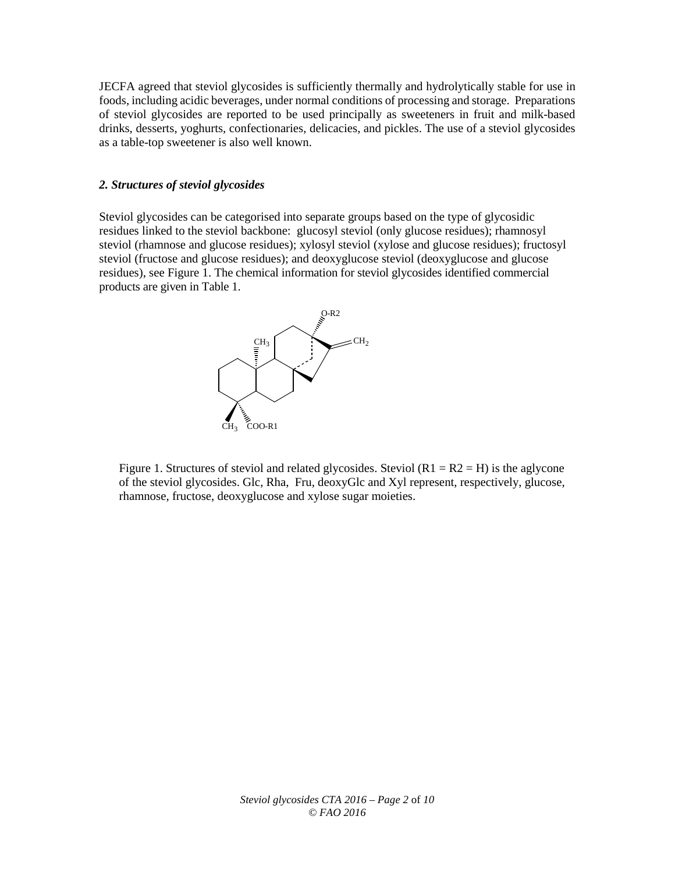JECFA agreed that steviol glycosides is sufficiently thermally and hydrolytically stable for use in foods, including acidic beverages, under normal conditions of processing and storage. Preparations of steviol glycosides are reported to be used principally as sweeteners in fruit and milk-based drinks, desserts, yoghurts, confectionaries, delicacies, and pickles. The use of a steviol glycosides as a table-top sweetener is also well known.

#### *2. Structures of steviol glycosides*

Steviol glycosides can be categorised into separate groups based on the type of glycosidic residues linked to the steviol backbone: glucosyl steviol (only glucose residues); rhamnosyl steviol (rhamnose and glucose residues); xylosyl steviol (xylose and glucose residues); fructosyl steviol (fructose and glucose residues); and deoxyglucose steviol (deoxyglucose and glucose residues), see Figure 1. The chemical information for steviol glycosides identified commercial products are given in Table 1.



Figure 1. Structures of steviol and related glycosides. Steviol  $(R1 = R2 = H)$  is the aglycone of the steviol glycosides. Glc, Rha, Fru, deoxyGlc and Xyl represent, respectively, glucose, rhamnose, fructose, deoxyglucose and xylose sugar moieties.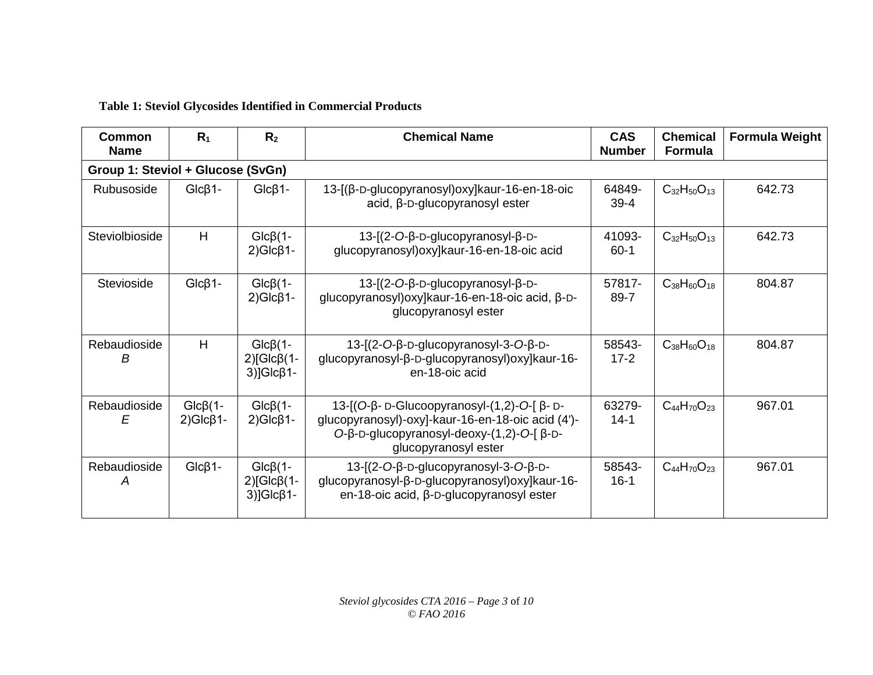# **Table 1: Steviol Glycosides Identified in Commercial Products**

| Common<br><b>Name</b>             | R <sub>1</sub>                  | R <sub>2</sub>                                                 | <b>Chemical Name</b>                                                                                                                                                  | <b>CAS</b><br><b>Number</b> | <b>Chemical</b><br><b>Formula</b> | <b>Formula Weight</b> |
|-----------------------------------|---------------------------------|----------------------------------------------------------------|-----------------------------------------------------------------------------------------------------------------------------------------------------------------------|-----------------------------|-----------------------------------|-----------------------|
| Group 1: Steviol + Glucose (SvGn) |                                 |                                                                |                                                                                                                                                                       |                             |                                   |                       |
| Rubusoside                        | $Glc\beta1-$                    | $Glc\beta1-$                                                   | 13-[(β-D-glucopyranosyl) oxy] kaur-16-en-18-oic<br>acid, β-D-glucopyranosyl ester                                                                                     | 64849-<br>$39 - 4$          | $C_{32}H_{50}O_{13}$              | 642.73                |
| Steviolbioside                    | H                               | $Glc\beta(1-$<br>$2)Glc\beta1-$                                | 13- $[(2-O-B-D-glucopyranosyl-B-D-$<br>glucopyranosyl) oxy]kaur-16-en-18-oic acid                                                                                     | 41093-<br>$60-1$            | $C_{32}H_{50}O_{13}$              | 642.73                |
| Stevioside                        | $Glc\beta1-$                    | $Glc\beta(1-$<br>$2)Glc\beta1-$                                | 13-[(2-O-β-D-glucopyranosyl-β-D-<br>glucopyranosyl) oxy]kaur-16-en-18-oic acid, β-D-<br>glucopyranosyl ester                                                          | 57817-<br>89-7              | $C_{38}H_{60}O_{18}$              | 804.87                |
| Rebaudioside<br>в                 | H                               | $Glc\beta(1-$<br>$2$ )[Glc $\beta$ (1-<br>$3)$ ]Glc $\beta$ 1- | 13-[(2-O-β-D-glucopyranosyl-3-O-β-D-<br>glucopyranosyl-β-D-glucopyranosyl) oxy]kaur-16-<br>en-18-oic acid                                                             | 58543-<br>$17 - 2$          | $C_{38}H_{60}O_{18}$              | 804.87                |
| Rebaudioside<br>E                 | $Glc\beta(1-$<br>$2)Glc\beta1-$ | $Glc\beta(1-$<br>$2)Glc\beta1-$                                | 13-[(O-β- D-Glucoopyranosyl-(1,2)-O-[β- D-<br>glucopyranosyl)-oxy]-kaur-16-en-18-oic acid (4')-<br>$O-B-D-glucopyranosyl-deoxy-(1,2)-O-[β-D-$<br>glucopyranosyl ester | 63279-<br>$14-1$            | $C_{44}H_{70}O_{23}$              | 967.01                |
| Rebaudioside<br>А                 | $Glc\beta1-$                    | $Glc\beta(1-$<br>$2)[Glc\beta(1-$<br>$3$ ]Glc $\beta$ 1-       | 13-[(2-O-β-D-glucopyranosyl-3-O-β-D-<br>glucopyranosyl-β-D-glucopyranosyl) oxy]kaur-16-<br>en-18-oic acid, β-D-glucopyranosyl ester                                   | 58543-<br>$16-1$            | $C_{44}H_{70}O_{23}$              | 967.01                |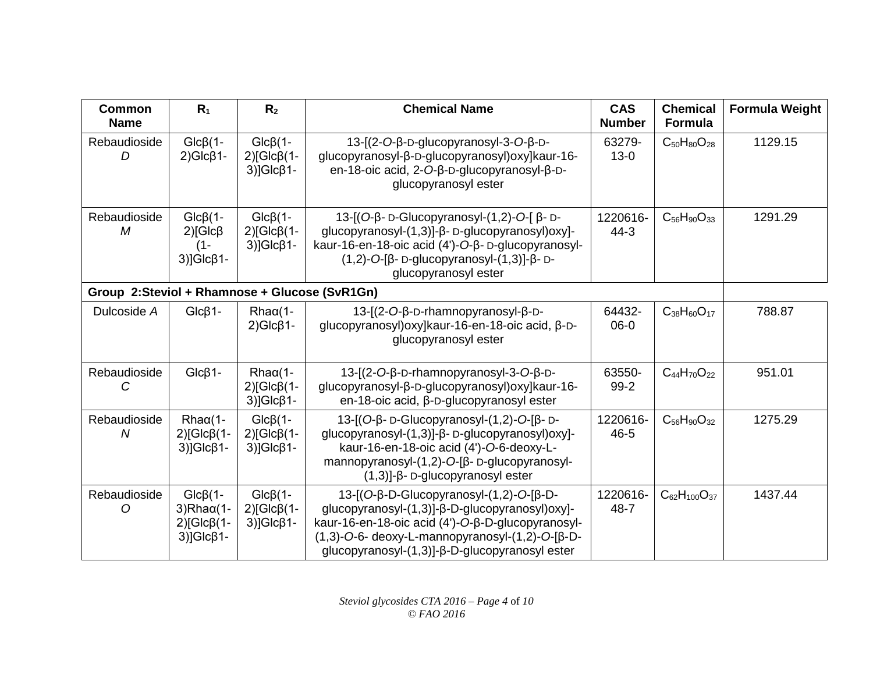| <b>Common</b><br><b>Name</b>                  | R <sub>1</sub>                                                                          | R <sub>2</sub>                                                  | <b>Chemical Name</b>                                                                                                                                                                                                                                       | <b>CAS</b><br><b>Number</b> | <b>Chemical</b><br><b>Formula</b> | <b>Formula Weight</b> |
|-----------------------------------------------|-----------------------------------------------------------------------------------------|-----------------------------------------------------------------|------------------------------------------------------------------------------------------------------------------------------------------------------------------------------------------------------------------------------------------------------------|-----------------------------|-----------------------------------|-----------------------|
| Rebaudioside<br>D                             | $Glc\beta(1-$<br>$2)Glc\beta1-$                                                         | $Glc\beta(1-$<br>$2)$ [Glc $\beta$ (1-<br>$3)$ ]Glc $\beta$ 1-  | 13-[(2-O-β-D-glucopyranosyl-3-O-β-D-<br>glucopyranosyl-β-D-glucopyranosyl) oxy]kaur-16-<br>en-18-oic acid, 2-O-β-D-glucopyranosyl-β-D-<br>glucopyranosyl ester                                                                                             | 63279-<br>$13 - 0$          | $C_{50}H_{80}O_{28}$              | 1129.15               |
| Rebaudioside<br>M                             | $Glc\beta(1-$<br>$2$ )[Glc $\beta$<br>(1-<br>$3)$ ]Glc $\beta$ 1-                       | $Glc \beta(1-$<br>$2)$ [Glc $\beta$ (1-<br>$3)$ ]Glc $\beta$ 1- | 13-[(O-β- D-Glucopyranosyl-(1,2)-O-[β- D-<br>glucopyranosyl-(1,3)]-β- D-glucopyranosyl)oxy]-<br>kaur-16-en-18-oic acid (4')-O-β-D-glucopyranosyl-<br>$(1,2)$ -O-[β- D-glucopyranosyl- $(1,3)$ ]-β- D-<br>glucopyranosyl ester                              | 1220616-<br>$44 - 3$        | $C_{56}H_{90}O_{33}$              | 1291.29               |
| Group 2:Steviol + Rhamnose + Glucose (SvR1Gn) |                                                                                         |                                                                 |                                                                                                                                                                                                                                                            |                             |                                   |                       |
| Dulcoside A                                   | $Glc\beta1-$                                                                            | $Rha\alpha(1-$<br>$2)Glc\beta1-$                                | 13-[(2-O-β-D-rhamnopyranosyl-β-D-<br>glucopyranosyl) oxy]kaur-16-en-18-oic acid, β-D-<br>glucopyranosyl ester                                                                                                                                              | 64432-<br>$06-0$            | $C_{38}H_{60}O_{17}$              | 788.87                |
| Rebaudioside<br>C                             | $Glc\beta1-$                                                                            | $Rha\alpha(1-$<br>$2)$ [Glc $\beta$ (1-<br>$3)$ ]Glc $\beta$ 1- | 13-[(2-O-β-D-rhamnopyranosyl-3-O-β-D-<br>glucopyranosyl-β-D-glucopyranosyl) oxy]kaur-16-<br>en-18-oic acid, β-D-glucopyranosyl ester                                                                                                                       | 63550-<br>$99-2$            | $C_{44}H_{70}O_{22}$              | 951.01                |
| Rebaudioside<br>N                             | $Rha\alpha(1-$<br>$2)$ [Glc $\beta$ (1-<br>$3)$ ]Glc $\beta$ 1-                         | $Glc\beta(1-$<br>$2)$ [Glc $\beta$ (1-<br>$3)$ ]Glc $\beta$ 1-  | 13-[(Ο-β- D-Glucopyranosyl-(1,2)-Ο-[β- D-<br>glucopyranosyl-(1,3)]-β- D-glucopyranosyl)oxy]-<br>kaur-16-en-18-oic acid (4')-O-6-deoxy-L-<br>mannopyranosyl-(1,2)-O-[β- D-glucopyranosyl-<br>$(1,3)$ ]- $\beta$ - D-glucopyranosyl ester                    | 1220616-<br>$46 - 5$        | $C_{56}H_{90}O_{32}$              | 1275.29               |
| Rebaudioside<br>Ω                             | $Glc\beta(1-$<br>$3)$ Rha $\alpha$ (1-<br>$2$ )[Glc $\beta$ (1-<br>$3)$ ]Glc $\beta$ 1- | $Glc \beta(1-$<br>$2)$ [Glc $\beta$ (1-<br>$3)$ ]Glc $\beta$ 1- | 13-[(O-β-D-Glucopyranosyl-(1,2)-O-[β-D-<br>glucopyranosyl-(1,3)]-β-D-glucopyranosyl)oxy]-<br>kaur-16-en-18-oic acid (4')-O-β-D-glucopyranosyl-<br>$(1,3)$ -O-6- deoxy-L-mannopyranosyl- $(1,2)$ -O-[β-D-<br>glucopyranosyl-(1,3)]-β-D-glucopyranosyl ester | 1220616-<br>$48 - 7$        | $C_{62}H_{100}O_{37}$             | 1437.44               |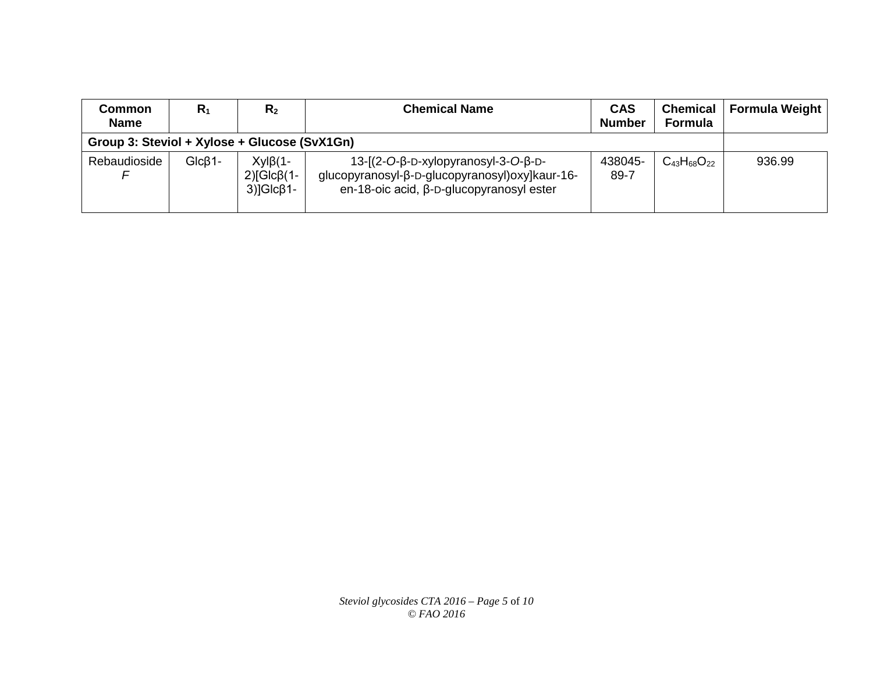| <b>Common</b><br><b>Name</b>                 | $R_1$    | R <sub>2</sub>                                                   | <b>Chemical Name</b>                                                                                                                | <b>CAS</b><br><b>Number</b> | <b>Chemical</b><br><b>Formula</b> | Formula Weight |
|----------------------------------------------|----------|------------------------------------------------------------------|-------------------------------------------------------------------------------------------------------------------------------------|-----------------------------|-----------------------------------|----------------|
| Group 3: Steviol + Xylose + Glucose (SvX1Gn) |          |                                                                  |                                                                                                                                     |                             |                                   |                |
| Rebaudioside                                 | $GlcB1-$ | $Xyl\beta(1-$<br>$2$ ) $Glc$ $\beta$ (1-<br>$3)$ ]Glc $\beta$ 1- | $13-[2-O-B-D-xylopyranosyl-3-O-B-D-$<br>glucopyranosyl-β-D-glucopyranosyl) oxy]kaur-16-<br>en-18-oic acid, β-D-glucopyranosyl ester | 438045-<br>89-7             | $C_{43}H_{68}O_{22}$              | 936.99         |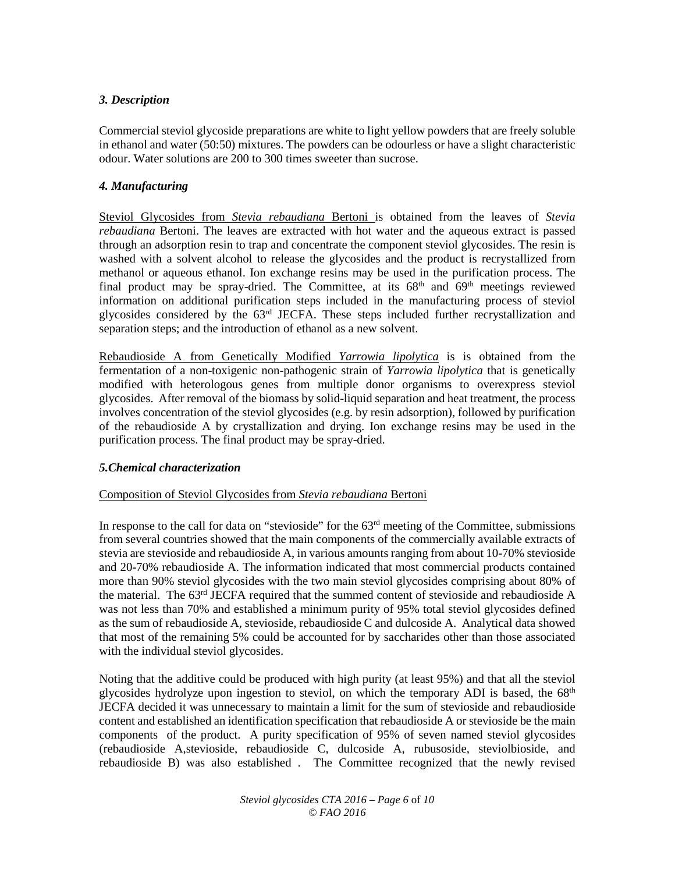### *3. Description*

Commercial steviol glycoside preparations are white to light yellow powders that are freely soluble in ethanol and water (50:50) mixtures. The powders can be odourless or have a slight characteristic odour. Water solutions are 200 to 300 times sweeter than sucrose.

#### *4. Manufacturing*

Steviol Glycosides from *Stevia rebaudiana* Bertoni is obtained from the leaves of *Stevia rebaudiana* Bertoni. The leaves are extracted with hot water and the aqueous extract is passed through an adsorption resin to trap and concentrate the component steviol glycosides. The resin is washed with a solvent alcohol to release the glycosides and the product is recrystallized from methanol or aqueous ethanol. Ion exchange resins may be used in the purification process. The final product may be spray-dried. The Committee, at its  $68<sup>th</sup>$  and  $69<sup>th</sup>$  meetings reviewed information on additional purification steps included in the manufacturing process of steviol glycosides considered by the 63<sup>rd</sup> JECFA. These steps included further recrystallization and separation steps; and the introduction of ethanol as a new solvent.

Rebaudioside A from Genetically Modified *Yarrowia lipolytica* is is obtained from the fermentation of a non-toxigenic non-pathogenic strain of *Yarrowia lipolytica* that is genetically modified with heterologous genes from multiple donor organisms to overexpress steviol glycosides. After removal of the biomass by solid-liquid separation and heat treatment, the process involves concentration of the steviol glycosides (e.g. by resin adsorption), followed by purification of the rebaudioside A by crystallization and drying. Ion exchange resins may be used in the purification process. The final product may be spray-dried.

#### *5.Chemical characterization*

#### Composition of Steviol Glycosides from *Stevia rebaudiana* Bertoni

In response to the call for data on "stevioside" for the 63<sup>rd</sup> meeting of the Committee, submissions from several countries showed that the main components of the commercially available extracts of stevia are stevioside and rebaudioside A, in various amounts ranging from about 10-70% stevioside and 20-70% rebaudioside A. The information indicated that most commercial products contained more than 90% steviol glycosides with the two main steviol glycosides comprising about 80% of the material. The 63rd JECFA required that the summed content of stevioside and rebaudioside A was not less than 70% and established a minimum purity of 95% total steviol glycosides defined as the sum of rebaudioside A, stevioside, rebaudioside C and dulcoside A. Analytical data showed that most of the remaining 5% could be accounted for by saccharides other than those associated with the individual steviol glycosides.

Noting that the additive could be produced with high purity (at least 95%) and that all the steviol glycosides hydrolyze upon ingestion to steviol, on which the temporary ADI is based, the  $68<sup>th</sup>$ JECFA decided it was unnecessary to maintain a limit for the sum of stevioside and rebaudioside content and established an identification specification that rebaudioside A or stevioside be the main components of the product. A purity specification of 95% of seven named steviol glycosides (rebaudioside A,stevioside, rebaudioside C, dulcoside A, rubusoside, steviolbioside, and rebaudioside B) was also established . The Committee recognized that the newly revised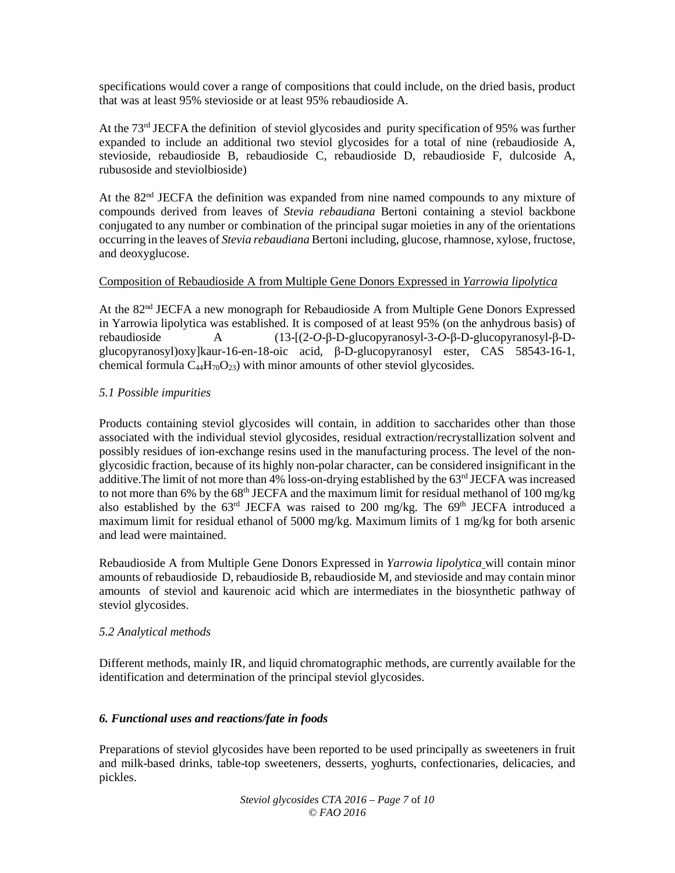specifications would cover a range of compositions that could include, on the dried basis, product that was at least 95% stevioside or at least 95% rebaudioside A.

At the 73rd JECFA the definition of steviol glycosides and purity specification of 95% was further expanded to include an additional two steviol glycosides for a total of nine (rebaudioside A, stevioside, rebaudioside B, rebaudioside C, rebaudioside D, rebaudioside F, dulcoside A, rubusoside and steviolbioside)

At the 82nd JECFA the definition was expanded from nine named compounds to any mixture of compounds derived from leaves of *Stevia rebaudiana* Bertoni containing a steviol backbone conjugated to any number or combination of the principal sugar moieties in any of the orientations occurring in the leaves of *Stevia rebaudiana* Bertoni including, glucose, rhamnose, xylose, fructose, and deoxyglucose.

#### Composition of Rebaudioside A from Multiple Gene Donors Expressed in *Yarrowia lipolytica*

At the 82nd JECFA a new monograph for Rebaudioside A from Multiple Gene Donors Expressed in Yarrowia lipolytica was established. It is composed of at least 95% (on the anhydrous basis) of rebaudioside A (13-[(2-*O*-β-D-glucopyranosyl-3-*O*-β-D-glucopyranosyl-β-Dglucopyranosyl)oxy]kaur-16-en-18-oic acid, β-D-glucopyranosyl ester, CAS 58543-16-1, chemical formula  $C_{44}H_{70}O_{23}$ ) with minor amounts of other steviol glycosides.

#### *5.1 Possible impurities*

Products containing steviol glycosides will contain, in addition to saccharides other than those associated with the individual steviol glycosides, residual extraction/recrystallization solvent and possibly residues of ion-exchange resins used in the manufacturing process. The level of the nonglycosidic fraction, because of its highly non-polar character, can be considered insignificant in the additive. The limit of not more than 4% loss-on-drying established by the 63<sup>rd</sup> JECFA was increased to not more than 6% by the 68<sup>th</sup> JECFA and the maximum limit for residual methanol of 100 mg/kg also established by the  $63<sup>rd</sup>$  JECFA was raised to 200 mg/kg. The  $69<sup>th</sup>$  JECFA introduced a maximum limit for residual ethanol of 5000 mg/kg. Maximum limits of 1 mg/kg for both arsenic and lead were maintained.

Rebaudioside A from Multiple Gene Donors Expressed in *Yarrowia lipolytica* will contain minor amounts of rebaudioside D, rebaudioside B, rebaudioside M, and stevioside and may contain minor amounts of steviol and kaurenoic acid which are intermediates in the biosynthetic pathway of steviol glycosides.

#### *5.2 Analytical methods*

Different methods, mainly IR, and liquid chromatographic methods, are currently available for the identification and determination of the principal steviol glycosides.

#### *6. Functional uses and reactions/fate in foods*

Preparations of steviol glycosides have been reported to be used principally as sweeteners in fruit and milk-based drinks, table-top sweeteners, desserts, yoghurts, confectionaries, delicacies, and pickles.

> *Steviol glycosides CTA 2016 – Page 7* of *10 © FAO 2016*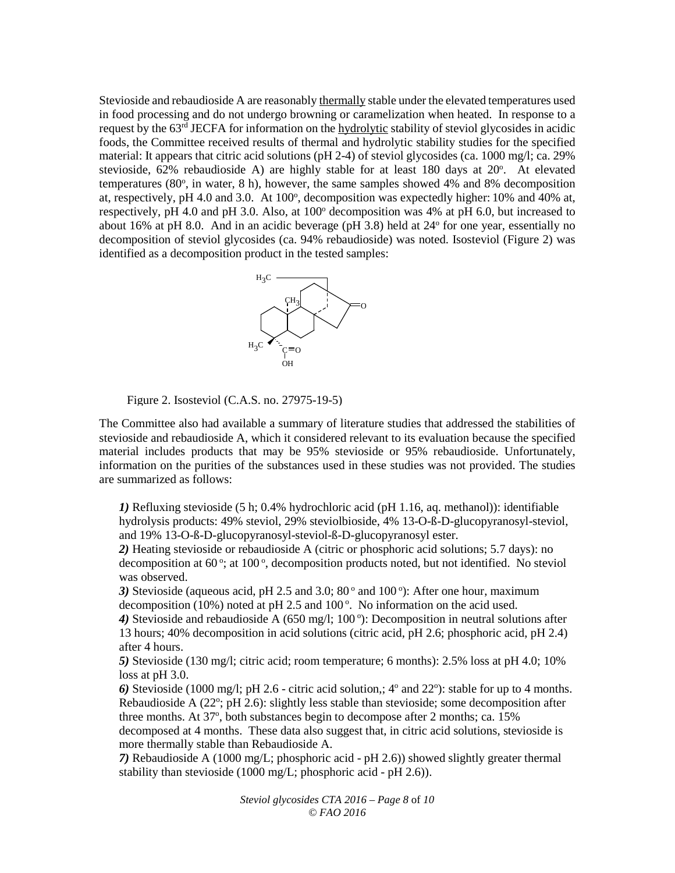Stevioside and rebaudioside A are reasonably thermally stable under the elevated temperatures used in food processing and do not undergo browning or caramelization when heated. In response to a request by the 63rd JECFA for information on the hydrolytic stability of steviol glycosides in acidic foods, the Committee received results of thermal and hydrolytic stability studies for the specified material: It appears that citric acid solutions (pH 2-4) of steviol glycosides (ca. 1000 mg/l; ca. 29% stevioside,  $62\%$  rebaudioside A) are highly stable for at least 180 days at  $20^\circ$ . At elevated temperatures (80°, in water, 8 h), however, the same samples showed 4% and 8% decomposition at, respectively, pH 4.0 and 3.0. At 100°, decomposition was expectedly higher: 10% and 40% at, respectively, pH 4.0 and pH 3.0. Also, at  $100^{\circ}$  decomposition was 4% at pH 6.0, but increased to about 16% at pH 8.0. And in an acidic beverage (pH  $3.8$ ) held at  $24^{\circ}$  for one year, essentially no decomposition of steviol glycosides (ca. 94% rebaudioside) was noted. Isosteviol (Figure 2) was identified as a decomposition product in the tested samples:



Figure 2. Isosteviol (C.A.S. no. 27975-19-5)

The Committee also had available a summary of literature studies that addressed the stabilities of stevioside and rebaudioside A, which it considered relevant to its evaluation because the specified material includes products that may be 95% stevioside or 95% rebaudioside. Unfortunately, information on the purities of the substances used in these studies was not provided. The studies are summarized as follows:

*1)* Refluxing stevioside (5 h; 0.4% hydrochloric acid (pH 1.16, aq. methanol)): identifiable hydrolysis products: 49% steviol, 29% steviolbioside, 4% 13-O-ß-D-glucopyranosyl-steviol, and 19% 13-O-ß-D-glucopyranosyl-steviol-ß-D-glucopyranosyl ester.

*2)* Heating stevioside or rebaudioside A (citric or phosphoric acid solutions; 5.7 days): no decomposition at 60°; at 100°, decomposition products noted, but not identified. No steviol was observed.

3) Stevioside (aqueous acid, pH 2.5 and 3.0; 80° and 100°): After one hour, maximum decomposition (10%) noted at pH 2.5 and 100 $^{\circ}$ . No information on the acid used.

4) Stevioside and rebaudioside A (650 mg/l; 100°): Decomposition in neutral solutions after 13 hours; 40% decomposition in acid solutions (citric acid, pH 2.6; phosphoric acid, pH 2.4) after 4 hours.

*5)* Stevioside (130 mg/l; citric acid; room temperature; 6 months): 2.5% loss at pH 4.0; 10% loss at pH 3.0.

6) Stevioside (1000 mg/l; pH 2.6 - citric acid solution,;  $4^{\circ}$  and  $22^{\circ}$ ): stable for up to 4 months. Rebaudioside A (22°; pH 2.6): slightly less stable than stevioside; some decomposition after three months. At 37°, both substances begin to decompose after 2 months; ca. 15%

decomposed at 4 months. These data also suggest that, in citric acid solutions, stevioside is more thermally stable than Rebaudioside A.

*7)* Rebaudioside A (1000 mg/L; phosphoric acid - pH 2.6)) showed slightly greater thermal stability than stevioside (1000 mg/L; phosphoric acid - pH 2.6)).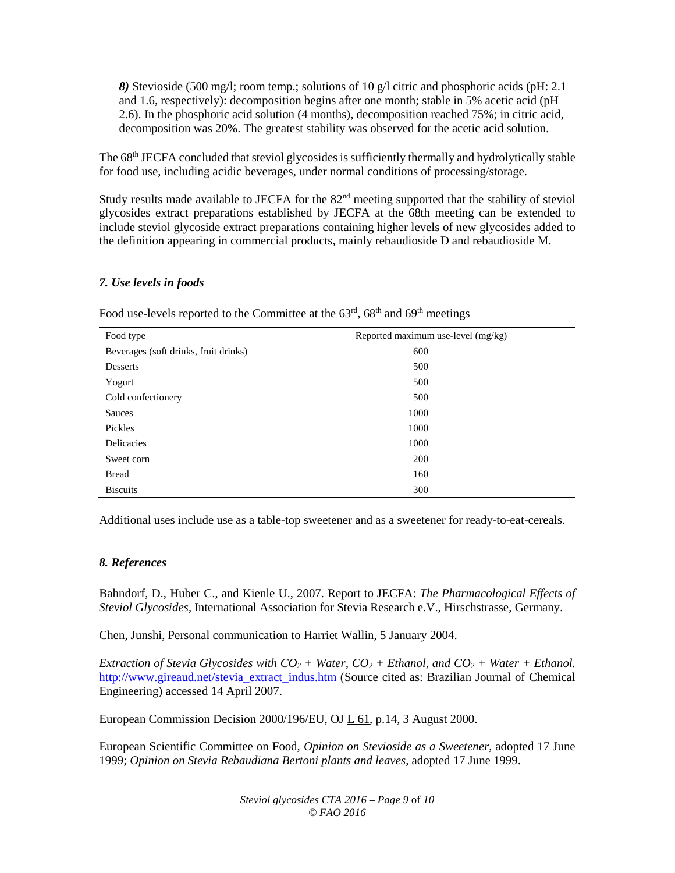*8)* Stevioside (500 mg/l; room temp.; solutions of 10 g/l citric and phosphoric acids (pH: 2.1 and 1.6, respectively): decomposition begins after one month; stable in 5% acetic acid (pH 2.6). In the phosphoric acid solution (4 months), decomposition reached 75%; in citric acid, decomposition was 20%. The greatest stability was observed for the acetic acid solution.

The 68<sup>th</sup> JECFA concluded that steviol glycosides is sufficiently thermally and hydrolytically stable for food use, including acidic beverages, under normal conditions of processing/storage.

Study results made available to JECFA for the 82<sup>nd</sup> meeting supported that the stability of steviol glycosides extract preparations established by JECFA at the 68th meeting can be extended to include steviol glycoside extract preparations containing higher levels of new glycosides added to the definition appearing in commercial products, mainly rebaudioside D and rebaudioside M.

#### *7. Use levels in foods*

| Food type                             | Reported maximum use-level (mg/kg) |  |
|---------------------------------------|------------------------------------|--|
| Beverages (soft drinks, fruit drinks) | 600                                |  |
| Desserts                              | 500                                |  |
| Yogurt                                | 500                                |  |
| Cold confectionery                    | 500                                |  |
| Sauces                                | 1000                               |  |
| Pickles                               | 1000                               |  |
| <b>Delicacies</b>                     | 1000                               |  |
| Sweet corn                            | 200                                |  |
| <b>Bread</b>                          | 160                                |  |
| <b>Biscuits</b>                       | 300                                |  |

Food use-levels reported to the Committee at the  $63<sup>rd</sup>$ ,  $68<sup>th</sup>$  and  $69<sup>th</sup>$  meetings

Additional uses include use as a table-top sweetener and as a sweetener for ready-to-eat-cereals.

#### *8. References*

Bahndorf, D., Huber C., and Kienle U., 2007. Report to JECFA: *The Pharmacological Effects of Steviol Glycosides*, International Association for Stevia Research e.V., Hirschstrasse, Germany.

Chen, Junshi, Personal communication to Harriet Wallin, 5 January 2004.

*Extraction of Stevia Glycosides with*  $CO_2$  *+ Water,*  $CO_2$  *+ Ethanol, and*  $CO_2$  *+ Water + Ethanol.* [http://www.gireaud.net/stevia\\_extract\\_indus.htm](http://www.gireaud.net/stevia_extract_indus.htm) (Source cited as: Brazilian Journal of Chemical Engineering) accessed 14 April 2007.

European Commission Decision 2000/196/EU, OJ L 61, p.14, 3 August 2000.

European Scientific Committee on Food, *Opinion on Stevioside as a Sweetener*, adopted 17 June 1999; *Opinion on Stevia Rebaudiana Bertoni plants and leaves*, adopted 17 June 1999.